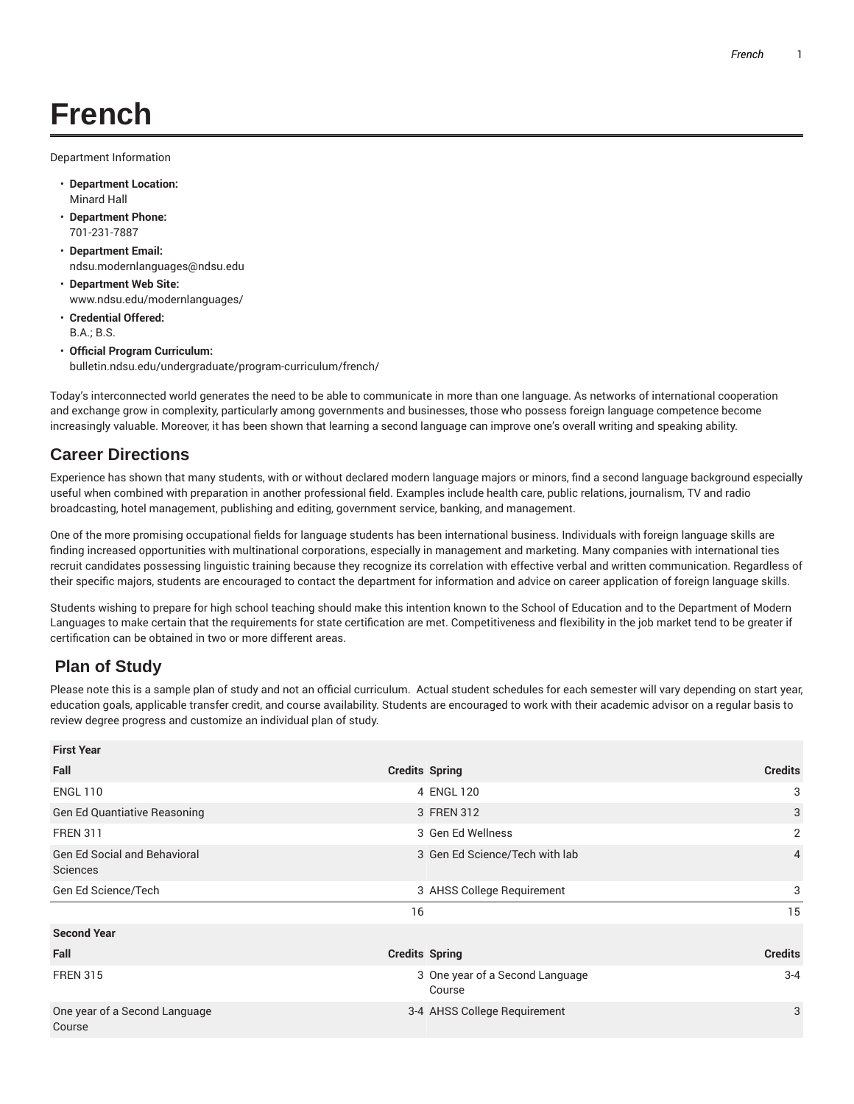## **French**

Department Information

- **Department Location:** Minard Hall
- **Department Phone:** 701-231-7887
- **Department Email:** ndsu.modernlanguages@ndsu.edu
- **Department Web Site:** www.ndsu.edu/modernlanguages/
- **Credential Offered:** B.A.; B.S.
- **Official Program Curriculum:** bulletin.ndsu.edu/undergraduate/program-curriculum/french/

Today's interconnected world generates the need to be able to communicate in more than one language. As networks of international cooperation and exchange grow in complexity, particularly among governments and businesses, those who possess foreign language competence become increasingly valuable. Moreover, it has been shown that learning a second language can improve one's overall writing and speaking ability.

## **Career Directions**

Experience has shown that many students, with or without declared modern language majors or minors, find a second language background especially useful when combined with preparation in another professional field. Examples include health care, public relations, journalism, TV and radio broadcasting, hotel management, publishing and editing, government service, banking, and management.

One of the more promising occupational fields for language students has been international business. Individuals with foreign language skills are finding increased opportunities with multinational corporations, especially in management and marketing. Many companies with international ties recruit candidates possessing linguistic training because they recognize its correlation with effective verbal and written communication. Regardless of their specific majors, students are encouraged to contact the department for information and advice on career application of foreign language skills.

Students wishing to prepare for high school teaching should make this intention known to the School of Education and to the Department of Modern Languages to make certain that the requirements for state certification are met. Competitiveness and flexibility in the job market tend to be greater if certification can be obtained in two or more different areas.

## **Plan of Study**

Please note this is a sample plan of study and not an official curriculum. Actual student schedules for each semester will vary depending on start year, education goals, applicable transfer credit, and course availability. Students are encouraged to work with their academic advisor on a regular basis to review degree progress and customize an individual plan of study.

| <b>First Year</b>                               |                       |                                           |                |
|-------------------------------------------------|-----------------------|-------------------------------------------|----------------|
| Fall                                            | <b>Credits Spring</b> |                                           | <b>Credits</b> |
| <b>ENGL 110</b>                                 |                       | 4 ENGL 120                                | 3              |
| <b>Gen Ed Quantiative Reasoning</b>             |                       | 3 FREN 312                                | 3              |
| <b>FREN 311</b>                                 |                       | 3 Gen Ed Wellness                         | $\overline{2}$ |
| <b>Gen Ed Social and Behavioral</b><br>Sciences |                       | 3 Gen Ed Science/Tech with lab            | $\overline{4}$ |
| Gen Ed Science/Tech                             |                       | 3 AHSS College Requirement                | 3              |
|                                                 | 16                    |                                           | 15             |
| <b>Second Year</b>                              |                       |                                           |                |
| Fall                                            | <b>Credits Spring</b> |                                           | <b>Credits</b> |
| <b>FREN 315</b>                                 |                       | 3 One year of a Second Language<br>Course | $3 - 4$        |
| One year of a Second Language<br>Course         |                       | 3-4 AHSS College Requirement              | 3              |